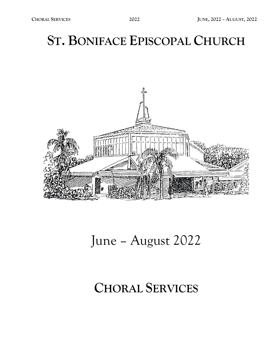## **ST. BONIFACE EPISCOPAL CHURCH**



## June – August 2022

## **CHORAL SERVICES**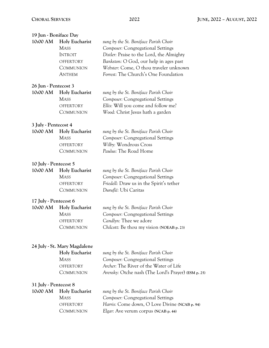| 19 Jun - Boniface Day |                                                                                                   |                                                                                                                                                                                                                                                     |
|-----------------------|---------------------------------------------------------------------------------------------------|-----------------------------------------------------------------------------------------------------------------------------------------------------------------------------------------------------------------------------------------------------|
| 10:00 AM              | Holy Eucharist<br><b>MASS</b><br><b>INTROIT</b><br><b>OFFERTORY</b><br>COMMUNION<br><b>ANTHEM</b> | sung by the St. Boniface Parish Choir<br>Composer: Congregational Settings<br>Distler: Praise to the Lord, the Almighty<br>Bankston: O God, our help in ages past<br>Webster: Come, O thou traveler unknown<br>Forrest: The Church's One Foundation |
| 26 Jun - Pentecost 3  |                                                                                                   |                                                                                                                                                                                                                                                     |
| 10:00 AM              | Holy Eucharist<br><b>MASS</b><br><b>OFFERTORY</b><br>COMMUNION                                    | sung by the St. Boniface Parish Choir<br>Composer: Congregational Settings<br>Ellis: Will you come and follow me?<br>Wood: Christ Jesus hath a garden                                                                                               |
| 3 July - Pentecost 4  |                                                                                                   |                                                                                                                                                                                                                                                     |
| 10:00 AM              | Holy Eucharist<br><b>MASS</b><br><b>OFFERTORY</b><br>COMMUNION                                    | sung by the St. Boniface Parish Choir<br>Composer: Congregational Settings<br>Wilby: Wondrous Cross<br>Paulus: The Road Home                                                                                                                        |
| 10 July - Pentecost 5 |                                                                                                   |                                                                                                                                                                                                                                                     |
| 10:00 AM              | Holy Eucharist<br><b>MASS</b><br><b>OFFERTORY</b><br>COMMUNION                                    | sung by the St. Boniface Parish Choir<br>Composer: Congregational Settings<br>Friedell: Draw us in the Spirit's tether<br>Duruflé: Ubi Caritas                                                                                                      |
| 17 July - Pentecost 6 |                                                                                                   |                                                                                                                                                                                                                                                     |
| 10:00 AM              | Holy Eucharist<br><b>MASS</b><br><b>OFFERTORY</b><br>COMMUNION                                    | sung by the St. Boniface Parish Choir<br>Composer: Congregational Settings<br>Candlyn: Thee we adore<br>Chilcott: Be thou my vision (NOEAB p. 23)                                                                                                   |
|                       | 24 July - St. Mary Magdalene                                                                      |                                                                                                                                                                                                                                                     |
|                       | <b>Holy Eucharist</b><br><b>MASS</b><br><b>OFFERTORY</b><br>COMMUNION                             | sung by the St. Boniface Parish Choir<br>Composer: Congregational Settings<br>Archer: The River of the Water of Life<br>Arensky: Otche nash (The Lord's Prayer) (ESM p. 25)                                                                         |
| 31 July - Pentecost 8 |                                                                                                   |                                                                                                                                                                                                                                                     |
| 10:00 AM              | <b>Holy Eucharist</b><br><b>MASS</b><br>OFFERTORY<br>COMMUNION                                    | sung by the St. Boniface Parish Choir<br>Composer: Congregational Settings<br>Harris: Come down, O Love Divine (NCAB p. 94)<br>Elgar: Ave verum corpus (NCAB p. 44)                                                                                 |